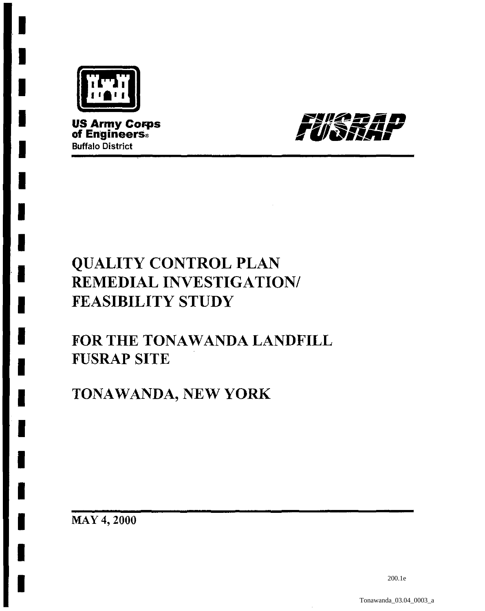

I

I

I

I

I

I

I

I

I

I

I

I

I

I

I

I

I

I

**US Army Corps of EngineerS®**  Buffalo District



# QUALITY CONTROL PLAN REMEDIAL INVESTIGATION/ FEASIBILITY STUDY

FOR THE TONAWANDA LANDFILL FUSRAP SITE

TONAWANDA, NEW YORK

MAY 4, 2000

200.1e

Tonawanda\_03.04\_0003\_a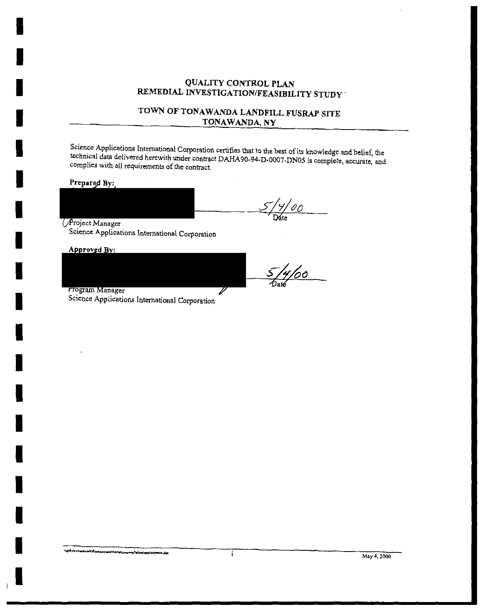## QUALITY CONTROL PLAN REMEDIAL INVESTIGATION/FEASIBILITY STUDY'

## TOWN OF TONAWANDA LANDFILL FUSRAP SITE TONAWANDA, NY

Science Applications International Corporation certifies that to the best of irs knowledge and belief, the rechnical data delivered herewith under contract DAHA90-94-D-0007-DN05 is complete, accurate, and complies with aU requirements of the contract.

V

Ŧ

Prepared By:

I

I

I

I

I

I

I

I

I

I

I

I

I

I

I

I

I

 $\frac{5}{\sqrt{2}}$  Date

**Project Manager** 

Science Applications International Corporation

Approved By:

 $\frac{5/4/60}{6}$ 

Program Manager

Science Applications International Corporation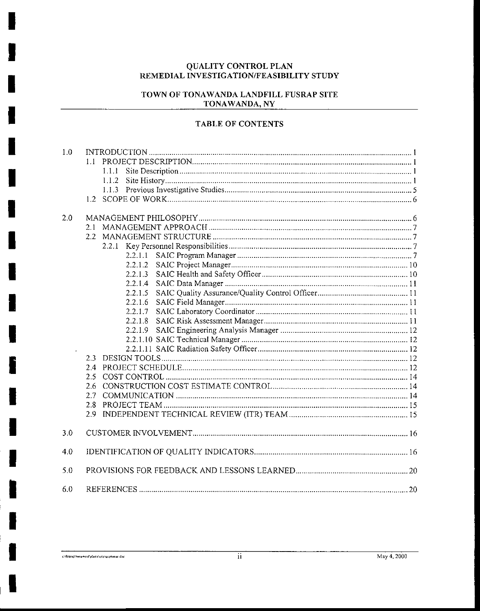## **QUALITY CONTROL PLAN** REMEDIAL INVESTIGATION/FEASIBILITY STUDY

## TOWN OF TONAWANDA LANDFILL FUSRAP SITE TONAWANDA, NY

## **TABLE OF CONTENTS**

| 1.0 |         |
|-----|---------|
|     |         |
|     | 1.1.1   |
|     | 1.1.2   |
|     | 1.1.3   |
|     |         |
|     |         |
| 2.0 |         |
|     | 2.1     |
|     |         |
|     | 2.2.1   |
|     | 2.2.1.1 |
|     | 2.2.1.2 |
|     | 2.2.1.3 |
|     | 2.2.1.4 |
|     | 2.2.1.5 |
|     | 2.2.1.6 |
|     | 2.2.1.7 |
|     | 2.2.1.8 |
|     | 2.2.1.9 |
|     |         |
|     |         |
|     |         |
|     |         |
|     | 2.5     |
|     | 2.6     |
|     | 2.7     |
|     | 2.8     |
|     | 2.9     |
| 3.0 |         |
|     |         |
| 4.0 |         |
| 5.0 |         |
|     |         |
| 6.0 |         |

n/fusrap/tonawmf/plans/gcp/gcptonar.doc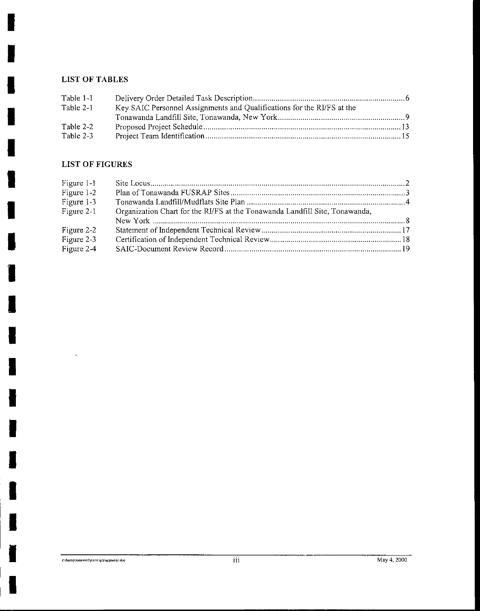## **LIST OFT ABLES**

I

I

I

I

I

I

I

I

I

I

I

I

I

I

I

I

I

| Table 1-1 |                                                                        |  |
|-----------|------------------------------------------------------------------------|--|
| Table 2-1 | Key SAIC Personnel Assignments and Qualifications for the RI/FS at the |  |
|           |                                                                        |  |
| Table 2-2 |                                                                        |  |
| Table 2-3 |                                                                        |  |

## **LIST OF FIGURES**

| Figure 1-1 |                                                                             |  |
|------------|-----------------------------------------------------------------------------|--|
| Figure 1-2 |                                                                             |  |
| Figure 1-3 |                                                                             |  |
| Figure 2-1 | Organization Chart for the RI/FS at the Tonawanda Landfill Site, Tonawanda, |  |
|            |                                                                             |  |
| Figure 2-2 |                                                                             |  |
| Figure 2-3 |                                                                             |  |
| Figure 2-4 |                                                                             |  |

 $\bar{z}$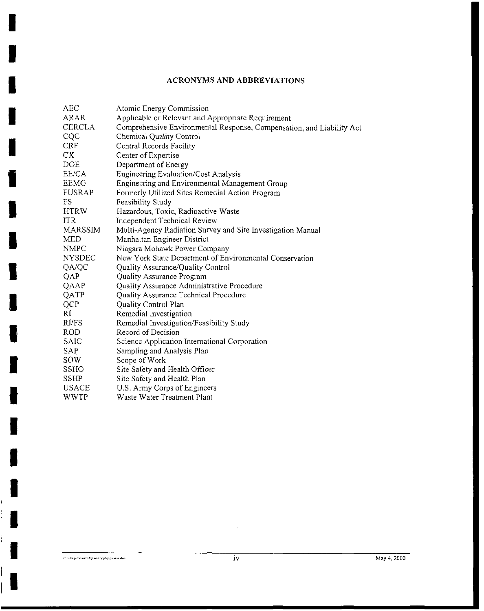## **ACRONYMS AND ABBREVIATIONS**

| Atomic Energy Commission                                              |
|-----------------------------------------------------------------------|
| Applicable or Relevant and Appropriate Requirement                    |
| Comprehensive Environmental Response, Compensation, and Liability Act |
| Chemical Quality Control                                              |
| Central Records Facility                                              |
| Center of Expertise                                                   |
| Department of Energy                                                  |
| <b>Engineering Evaluation/Cost Analysis</b>                           |
| Engineering and Environmental Management Group                        |
| Formerly Utilized Sites Remedial Action Program                       |
| Feasibility Study                                                     |
| Hazardous, Toxic, Radioactive Waste                                   |
| Independent Technical Review                                          |
| Multi-Agency Radiation Survey and Site Investigation Manual           |
| Manhattan Engineer District                                           |
| Niagara Mohawk Power Company                                          |
| New York State Department of Environmental Conservation               |
| Quality Assurance/Quality Control                                     |
| Quality Assurance Program                                             |
| Quality Assurance Administrative Procedure                            |
| Quality Assurance Technical Procedure                                 |
| Quality Control Plan                                                  |
| Remedial Investigation                                                |
| Remedial Investigation/Feasibility Study                              |
| Record of Decision                                                    |
| Science Application International Corporation                         |
| Sampling and Analysis Plan                                            |
| Scope of Work                                                         |
| Site Safety and Health Officer                                        |
| Site Safety and Health Plan                                           |
| U.S. Army Corps of Engineers                                          |
| Waste Water Treatment Plant                                           |
|                                                                       |

r:\fusrap\tonawmf\plans\qcp\qcptonar.doc

I

I

I

I

I

I

I

I

I

I

I

I

I

I

I

I

I

I

I

 $\bar{\beta}$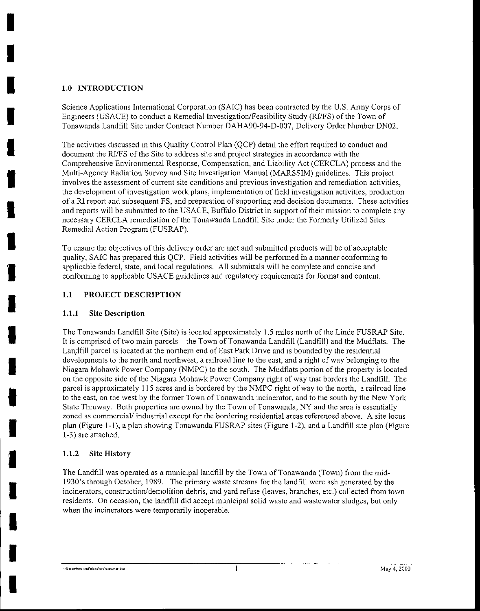#### **1.0 INTRODUCTION**

I

I

I

I

I

I

I

I

I

I

I

I

I

I

**I** 

I

I

I

I

Science Applications International Corporation (SAIC) has been contracted by the U.S. Army Corps of Engineers (USACE) to conduct a Remedial Investigation/Feasibility Study (Rl/FS) of the Town of Tonawanda Landfill Site under Contract Number DAHA90-94-D-007, Delivery Order Number DN02.

The activities discussed in this Quality Control Plan (QCP) detail the effort required to conduct and document the RifFS of the Site to address site and project strategies in accordance with the Comprehensive Environmental Response, Compensation, and Liability Act (CERCLA) process and the Multi-Agency Radiation Survey and Site Investigation Manual (MARSSIM) guidelines. This project involves the assessment of current site conditions and previous investigation and remediation activities, the development of investigation work plans, implementation of field investigation activities, production of a Rl report and subsequent FS, and preparation of supporting and decision documents. These activities and reports will be submitted to the USACE, Buffalo District in support of their mission to complete any necessary CERCLA remediation of the Tonawanda Landfill Site under the Formerly Utilized Sites Remedial Action Program (FUSRAP).

To ensure the objectives of this delivery order are met and submitted products will be of acceptable quality, SAIC has prepared this QCP. Field activities will be performed in a manner conforming to applicable federal, state, and local regulations. All submittals will be complete and concise and conforming to applicable USACE guidelines and regulatory requirements for format and content.

#### **L1 PROJECT DESCRJPTION**

#### **1.1.1 Site Description**

The Tonawanda Landfill Site (Site) is located approximately l.5 miles north of the Linde FUSRAP Site. It is comprised of two main parcels – the Town of Tonawanda Landfill (Landfill) and the Mudflats. The Landfill parcel is located at the northern end of East Park Drive and is bounded by the residential developments to the north and northwest, a railroad line to the east, and a right of way belonging to the Niagara Mohawk Power Company (NMPC) to the south. The Mudflats portion of the property is located on the opposite side of the Niagara Mohawk Power Company right of way that borders the Landfill. The parcel is approximately 115 acres and is bordered by the NMPC right of way to the north, a railroad line to the east, on the west by the former Town of Tonawanda incinerator, and to the south by the New York State Thruway. Both properties are owned by the Town of Tonawanda, NY and the area is essentially **zoned as commerciaV industrial except for the bordering residential areas referenced above. A site locus**  plan (Figure 1-1), a plan showing Tonawanda FUSRAP sites (Figure 1-2), and a Landfill site plan (Figure 1-3) are attached.

### **1.1.2 Site History**

The Landfill was operated as a municipal landfill by the Town of Tonawanda (Town) from the mid-1930's through October, 1989. The primary waste streams for the landfill were ash generated by the incinerators, construction/demolition debris, and yard refuse (leaves, branches, etc.) collected from town residents. On occasion, the landfill did accept municipal solid waste and wastewater sludges, but only when the incinerators were temporarily inoperable.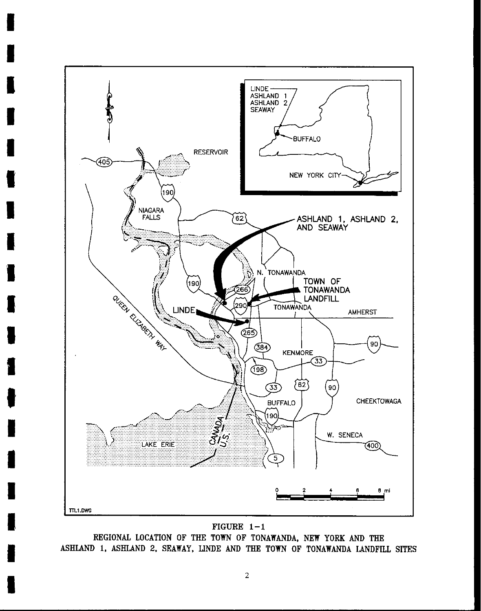

I

I

I

I

I

I

I

I

I

I

I

I

I

I

I

I

I

I

I

FIGURE  $1-1$ 

REGIONAL LOCATION OF THE TOWN OF TONAWANDA, NEW YORK AND THE ASHLAND 1, ASHLAND 2, SEAWAY, LINDE AND THE TOWN OF TONAWANDA LANDFILL SITES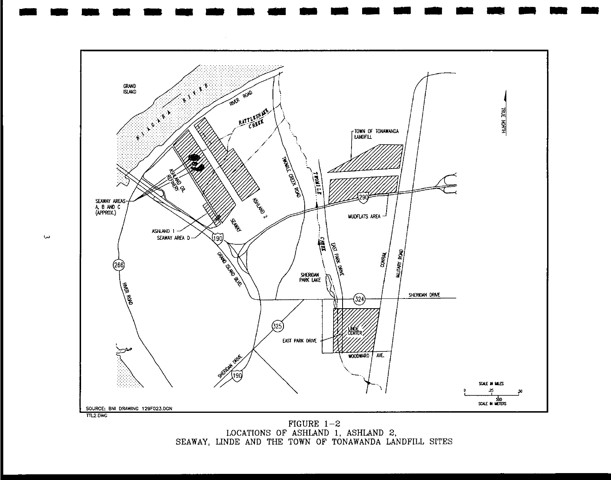

 $FIGURE 1-2$ LOCATIONS OF ASHLAND 1, ASHLAND 2, SEAWAY, LINDE AND THE TOWN OF TONAWANDA LANDFILL SITES

w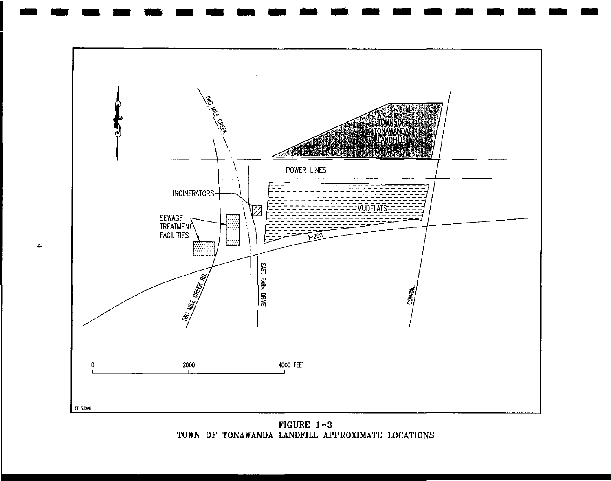

FIGURE  $1-3$ TOWN OF TONAWANDA LANDFilL APPROXIMATE LOCATIONS

 $\blacktriangle$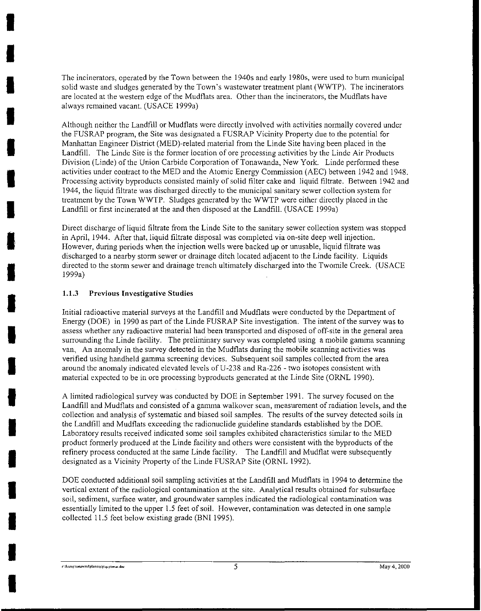The incinerators, operated by the Town between the 1940s and early 1980s, were used to burn municipal solid waste and sludges generated by the Town's wastewater treatment plant (WWTP). The incinerators are located at the western edge of the Mudflats area. Other than the incinerators, the Mudflats have always remained vacant. (US ACE 1999a)

Although neither the Landfill or Mudflats were directly involved with activities normally covered under the FUSRAP program, the Site was designated a FUSRAP Vicinity Property due to the potential for Manhattan Engineer District (MED)-related material from the Linde Site having been placed in the Landfill. The Linde Site is the former location of ore processing activities by the Linde Air Products Division (Linde) of the Union Carbide Corporation of Tonawanda, New York. Linde performed these activities under contract to the MED and the Atomic Energy Commission (AEC) between 1942 and 1948. Processing activity byproducts consisted mainly of solid filter cake and liquid filtrate. Between 1942 and 1944, the liquid filtrate was discharged directly to the municipal sanitary sewer collection system for treatment by the Town WWTP. Sludges generated by the WWTP were either directly placed in the Landfill or first incinerated at the and then disposed at the Landfill. (USACE 1999a)

Direct discharge ofliquid filtrate from the Linde Site to the sanitary sewer collection system was stopped in April, 1944. After that, liquid filtrate disposal was completed via on-site deep well injection. However, during periods when the injection wells were backed up or unusable, liquid filtrate was discharged to a nearby storm sewer or drainage ditch located adjacent to the Linde facility. Liquids directed to the storm sewer and drainage trench ultimately discharged into the Twomile Creek. (USACE 1999a)

#### **1.1.3 Previous Investigative Studies**

I

I

I

I

I

I

I

I

I

I

I

I

I

I

I

I

I

I

I

Initial radioactive material surveys at the Landfill and Mudflats were conducted by the Department of Energy (DOE) in 1990 as part of the Linde FUSRAP Site investigation. The intent of the survey was to assess whether any radioactive material had been transported and disposed of off-site in the general area surrounding the Linde facility. The preliminary survey was completed using a mobile gamma scanning van.. An anomaly in the survey detected in the Mudflats during the mobile scanning activities was verified using handheld gamma screening devices. Subsequent soil samples collected from the area around the anomaly indicated elevated levels of U-238 and Ra-226 - two isotopes consistent with material expected to be in ore processing byproducts generated at the Linde Site (ORNL 1990).

A limited radiological survey was conducted by DOE in September 1991. The survey focused on the Landfill and Mudflats and consisted of a gamma walkover scan, measurement of radiation levels, and the collection and analysis of systematic and biased soil samples. The results of the survey detected soils in the Landfill and Mudflats exceeding the radionuclide guideline standards established by the DOE. Laboratory results received indicated some soil samples exhibited characteristics similar to the MED product formerly produced at the Linde facility and others were consistent with the byproducts of the refinery process conducted at the same Linde facility. The Landfill and Mudflat were subsequently designated as a Vicinity Property of the Linde FUSRAP Site (ORNL 1992).

DOE conducted additional soil sampling activities at the Landfill and Mudflats in 1994 to determine the **vertical extent of the radiological contamination at the site. Analytical results obtained for subsurface soil, sediment, surface water, and groundwater samples indicated the radiological contamination was**  essentially limited to the upper 1.5 feet of soil. However, contamination was detected in one sample collected 11.5 feet below existing grade (BNI 1995).

r\fustap\\conawmfplans\acp\upplomat.doc **May 4, 2000 May 4, 2000**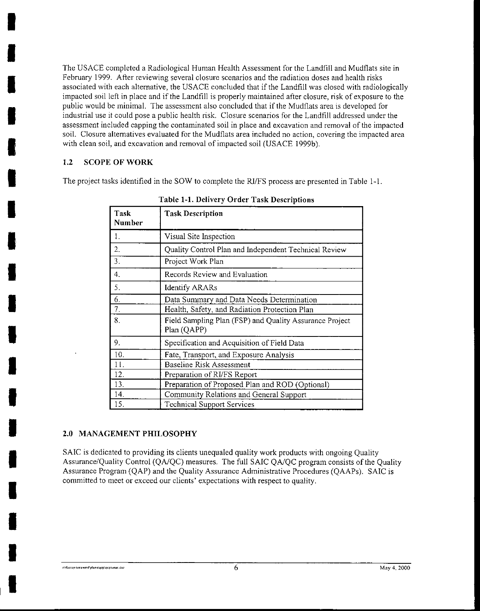The USACE completed a Radiological Human Health Assessment for the Landfill and Mudflats site in February 1999. After reviewing several closure scenarios and the radiation doses and health risks associated with each alternative, the USACE concluded that if the Landfill was closed with radiologically impacted soil left in place and if the Landfill is properly maintained after closure, risk of exposure to the public would be minimal. The assessment also concluded that if the Mudflats area is developed for industrial use it could pose a public health risk. Closure scenarios for the Landfill addressed under the assessment included capping the contaminated soil in place and excavation and removal of the impacted **soil. Closure alternatives evaluated for the Mudflats area included no action, covering the impacted area**  with clean soil, and excavation and removal of impacted soil (USACE 1999b).

## **1.2 SCOPE OF WORK**

I

I

I

I

I

I

I

I

I

I

I

I

I

I

I

I

I

I

I

The project tasks identified in the SOW to complete the RI/FS process are presented in Table 1-l.

| Task<br>Number | <b>Task Description</b>                                                |  |  |
|----------------|------------------------------------------------------------------------|--|--|
| 1.             | Visual Site Inspection                                                 |  |  |
| 2.             | Quality Control Plan and Independent Technical Review                  |  |  |
| 3.             | Project Work Plan                                                      |  |  |
| 4.             | Records Review and Evaluation                                          |  |  |
| 5.             | <b>Identify ARARs</b>                                                  |  |  |
| 6.             | Data Summary and Data Needs Determination                              |  |  |
| 7.             | Health, Safety, and Radiation Protection Plan                          |  |  |
| 8.             | Field Sampling Plan (FSP) and Quality Assurance Project<br>Plan (QAPP) |  |  |
| 9.             | Specification and Acquisition of Field Data                            |  |  |
| 10.            | Fate, Transport, and Exposure Analysis                                 |  |  |
| 11.            | Baseline Risk Assessment                                               |  |  |
| 12.            | Preparation of RI/FS Report                                            |  |  |
| 13.            | Preparation of Proposed Plan and ROD (Optional)                        |  |  |
| 14.            | Community Relations and General Support                                |  |  |
| 15.            | Technical Support Services                                             |  |  |

**Table 1-1. Delivery Order Task Descriptions** 

### **2.0 MANAGEMENT PHILOSOPHY**

SAIC is dedicated to providing its clients unequaled quality work products with ongoing Quality Assurance/Quality Control *(QNQC)* measures. The full SAIC *QNQC* program consists of the Quality Assurance Program (QAP) and the Quality Assurance Administrative Procedures (QAAPs). SAIC is **committed to meet or exceed our clients' expectations with respect to quality.**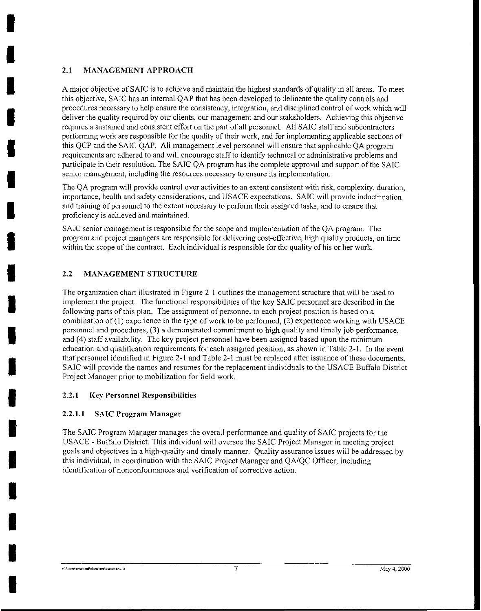## **2.1 MANAGEMENT APPROACH**

I

I

I

I

I

I

I

I

I

I

I

I

I

I

I

I

I

I

I

A major objective ofSAIC is to achieve and maintain the highest standards of quality in all areas. To meet this objective, SAIC has an internal QAP that has been developed to delineate the quality controls and procedures necessary to help ensure the consistency, integration, and disciplined control of work which will deliver the quality required by our clients, our management and our stakeholders. Achieving this objective requires a sustained and consistent effort on the part of all personnel. All SAlC staff and subcontractors performing work are responsible for the quality of their work, and for implementing applicable sections of this QCP and the SAIC QAP. All management level personnel will ensure that applicable QA program requirements are adhered to and will encourage staff to identify technical or administrative problems and participate in their resolution. The SAIC QA program has the complete approval and support of the SAIC **senior management, including the resources necessary to ensure its implementation.** 

**The QA program will provide control over activities to an extent consistent with risk, complexity, duration,**  importance, health and safety considerations, and USACE expectations. SAIC will provide indoctrination and training of personnel to the extent necessary to perform their assigned tasks, and to ensure that **proficiency is achieved and maintained.** 

SAIC senior management is responsible for the scope and implementation of the QA program. The program and project managers are responsible for delivering cost-effective, high quality products, on time within the scope of the contract. Each individual is responsible for the quality of his or her work.

## **2.2 MANAGEMENT STRUCTURE**

The organization chart illustrated in Figure 2-l outlines the management structure that will be used to implement the project. The functional responsibilities of the key SAIC personnel are described in the following parts of this plan. The assignment of personnel to each project position is based on a combination of  $(1)$  experience in the type of work to be performed,  $(2)$  experience working with USACE personnel and procedures, (3) a demonstrated commitment to high quality and timely job performance, and ( **4)** staff availability. The key project personnel have been assigned based upon the minimum education and qualification requirements for each assigned position, as shown in Table 2-l. In the event that' personnel identified in Figure 2-l and Table 2-l must be replaced after issuance of these documents, SAIC will provide the names and resumes for the replacement individuals to the USACE Buffalo District Project Manager prior to mobilization for field work.

### **2.2.1 Key Personnel Responsibilities**

### **2.2.1.1 SAIC Program Manager**

The SAIC Program Manager manages the overall performance and quality of SAIC projects for the USACE -Buffalo District. This individual will oversee the SAIC Project Manager in meeting project goals and objectives in a high-quality and timely manner. Quality assurance issues will be addressed by this individual, in coordination with the SAIC Project Manager and QA/QC Officer, including **identification of nonconfonnances and verification of corrective action.**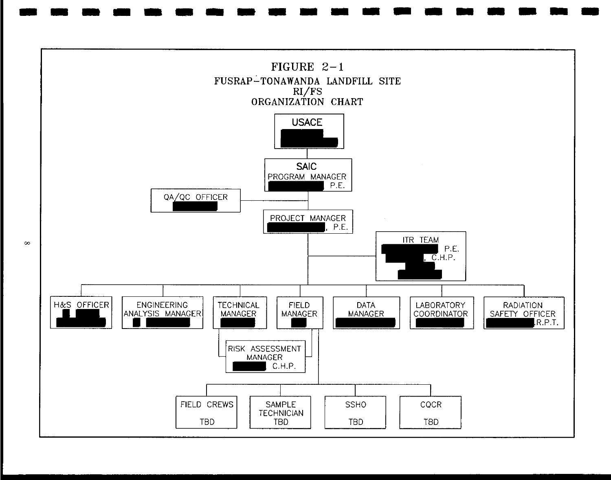

 $\infty$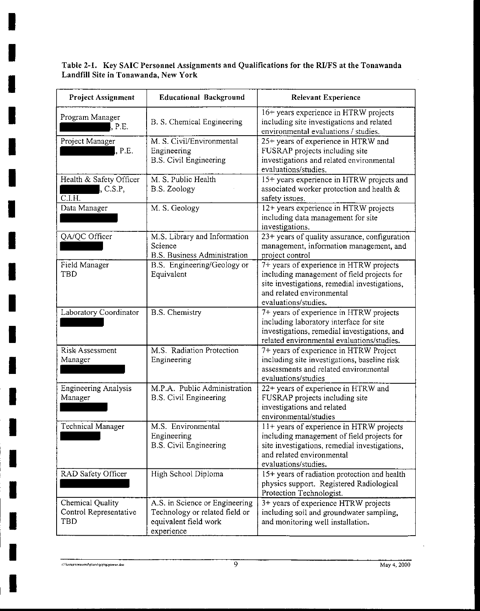Table 2-1. Key SAIC Personnel Assignments and Qualifications for the RI/FS at the Tonawanda Landfill Site in Tonawanda, New York

| <b>Project Assignment</b>                                  | <b>Educational Background</b>                                                                           | <b>Relevant Experience</b>                                                                                                                                                                   |
|------------------------------------------------------------|---------------------------------------------------------------------------------------------------------|----------------------------------------------------------------------------------------------------------------------------------------------------------------------------------------------|
| Program Manager<br>P.E.                                    | B. S. Chemical Engineering                                                                              | 16+ years experience in HTRW projects<br>including site investigations and related<br>environmental evaluations / studies.                                                                   |
| Project Manager<br>., P.E.                                 | $\overline{M}$ . S. Civil/Environmental<br>Engineering<br><b>B.S. Civil Engineering</b>                 | 25+ years of experience in HTRW and<br>FUSRAP projects including site<br>investigations and related environmental<br>evaluations/studies.                                                    |
| Health & Safety Officer<br>, C.S.P,<br>$\overline{C.I.H.}$ | M. S. Public Health<br>B.S. Zoology                                                                     | 15+ years experience in HTRW projects and<br>associated worker protection and health &<br>safety issues.                                                                                     |
| Data Manager                                               | M. S. Geology                                                                                           | 12+ years experience in HTRW projects<br>including data management for site<br>investigations.                                                                                               |
| QA/QC Officer                                              | M.S. Library and Information<br>Science<br><b>B.S. Business Administration</b>                          | 23+ years of quality assurance, configuration<br>management, information management, and<br>project control                                                                                  |
| Field Manager<br>TBD                                       | B.S. Engineering/Geology or<br>Equivalent                                                               | 7+ years of experience in HTRW projects<br>including management of field projects for<br>site investigations, remedial investigations,<br>and related environmental<br>evaluations/studies.  |
| Laboratory Coordinator                                     | <b>B.S.</b> Chemistry                                                                                   | 7+ years of experience in HTRW projects<br>including laboratory interface for site<br>investigations, remedial investigations, and<br>related environmental evaluations/studies.             |
| Risk Assessment<br>Manager                                 | M.S. Radiation Protection<br>Engineering                                                                | 7+ years of experience in HTRW Project<br>including site investigations, baseline risk<br>assessments and related environmental<br>evaluations/studies                                       |
| <b>Engineering Analysis</b><br>Manager                     | M.P.A. Public Administration<br>B.S. Civil Engineering                                                  | 22+ years of experience in HTRW and<br>FUSRAP projects including site<br>investigations and related<br>environmental/studies                                                                 |
| <b>Technical Manager</b>                                   | M.S. Environmental<br>Engineering<br><b>B.S. Civil Engineering</b>                                      | 11+ years of experience in HTRW projects<br>including management of field projects for<br>site investigations, remedial investigations,<br>and related environmental<br>evaluations/studies. |
| RAD Safety Officer                                         | High School Diploma                                                                                     | 15+ years of radiation protection and health<br>physics support. Registered Radiological<br>Protection Technologist.                                                                         |
| Chemical Quality<br>Control Representative<br>TBD          | A.S. in Science or Engineering<br>Technology or related field or<br>equivalent field work<br>experience | 3+ years of experience HTRW projects<br>including soil and groundwater sampling,<br>and monitoring well installation.                                                                        |

I

I

I

I

I

I

I

I

I

I

I

I

I

I

**'I** 

I

I

I

I

l.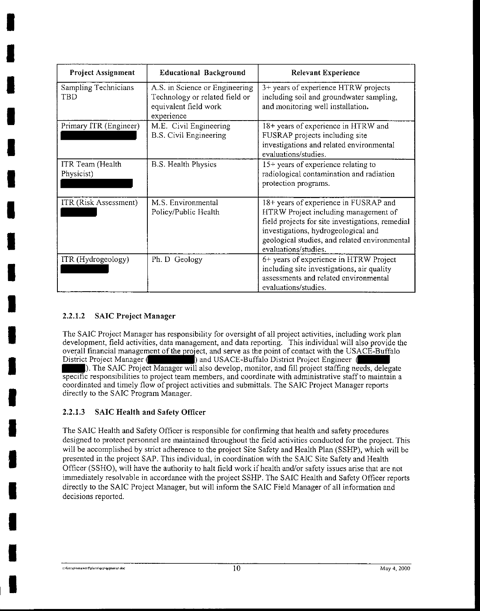| <b>Project Assignment</b>      | <b>Educational Background</b>                                                                           | <b>Relevant Experience</b>                                                                                                                                                                                                                        |
|--------------------------------|---------------------------------------------------------------------------------------------------------|---------------------------------------------------------------------------------------------------------------------------------------------------------------------------------------------------------------------------------------------------|
| Sampling Technicians<br>TBD    | A.S. in Science or Engineering<br>Technology or related field or<br>equivalent field work<br>experience | 3+ years of experience HTRW projects<br>including soil and groundwater sampling,<br>and monitoring well installation.                                                                                                                             |
| Primary ITR (Engineer)         | M.E. Civil Engineering<br>B.S. Civil Engineering                                                        | 18+ years of experience in HTRW and<br>FUSRAP projects including site<br>investigations and related environmental<br>evaluations/studies.                                                                                                         |
| ITR Team (Health<br>Physicist) | B.S. Health Physics                                                                                     | 15+ years of experience relating to<br>radiological contamination and radiation<br>protection programs.                                                                                                                                           |
| ITR (Risk Assessment)          | M.S. Environmental<br>Policy/Public Health                                                              | 18+ years of experience in FUSRAP and<br>HTRW Project including management of<br>field projects for site investigations, remedial<br>investigations, hydrogeological and<br>geological studies, and related environmental<br>evaluations/studies. |
| ITR (Hydrogeology)             | Ph. D Geology                                                                                           | 6+ years of experience in HTRW Project<br>including site investigations, air quality<br>assessments and related environmental<br>evaluations/studies.                                                                                             |

## **2.2.1.2 SAIC Project Manager**

I

I

I

I

I

I

I

I

I

I

I

I

I

I

I

I

I

I

I

The SAIC Project Manager has responsibility for oversight of all project activities, including work plan development, field activities, data management, and data reporting. This individual will also provide the overall financial management of the project, and serve as the point of contact with the USACE-Buffalo<br>District Project Manager ( $\Box$ ) and USACE-Buffalo District Project Engineer ) and USACE-Buffalo District Project Engineer ( ). The SAIC Project Manager will also develop, monitor, and fill project staffing needs, delegate specific responsibilities to project team members, and coordinate with administrative staff to maintain a coordinated and timely flow of project activities and submittals. The SAIC Project Manager reports directly to the SAIC Program Manager.

### **2.2.1.3 SAIC Health and Safety Officer**

The SAIC Health and Safety Officer is responsible for confirming that health and safety procedures designed to protect personnel are maintained throughout the field activities conducted for the project. This will be accomplished by strict adherence to the project Site Safety and Health Plan (SSHP), which will be presented in the project SAP. This individual, in coordination with the SAIC Site Safety and Health Officer (SSHO), will have the authority to halt field work if health and/or safety issues arise that are not immediately resolvable in accordance with the project SSHP. The SAIC Health and Safety Officer reports directly to the SAIC Project Manager, but will inform the SAIC Field Manager of all information and decisions reported.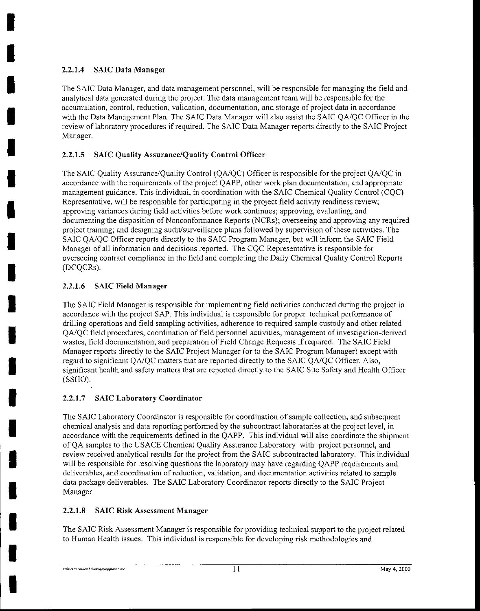## **2.2.1.4 SAIC Data Manager**

I

I

I

I

I

I

I

I

I

I

I

I

I

I

I

I

I

I

I

The SAIC Data Manager, and data management personnel, will be responsible for managing the field and analytical data generated during the project. The data management team will be responsible for the **accumulation, control, reduction, validation, documentation, and storage of project data in accordance**  with the Data Management Plan. The SAIC Data Manager will also assist the SAIC *QNQC* Officer in the review of laboratory procedures if required. The SAIC Data Manager reports directly to the SAIC Project Manager.

## **2.2.1.5 SAIC Quality Assurance/Quality Control Officer**

The SAIC Quality Assurance/Quality Control *(QNQC)* Officer is responsible for the project *QNQC* in accordance with the requirements of the project QAPP, other work plan documentation, and appropriate management guidance. This individual, in coordination with the SAIC Chemical Quality Control (CQC) Representative, will be responsible for participating in the project field activity readiness review; approving variances during field activities before work continues; approving, evaluating, and documenting the disposition of Nonconformance Reports (NCRs); overseeing and approving any required project training; and designing audit/surveillance plans followed by supervision of these activities. The SAIC *QNQC* Officer reports directly to the SAIC Program Manager, but will inform the SAIC Field Manager of all information and decisions reported. The CQC Representative is responsible for overseeing contract compliance in the field and completing the Daily Chemical Quality Control Reports (DCQCRs).

## **2.2.1.6 SAIC Field Manager**

The SAIC Field Manager is responsible for implementing field activities conducted during the project in accordance with the project SAP. This individual is responsible for proper technical performance of drilling operations and field sampling activities, adherence to required sample custody and other related *QNQC* field procedures, coordination of field personnel activities, management of investigation-derived wastes, field documentation, and preparation of Field Change Requests if required. The SAIC Field Manager reports directly to the SAIC Project Manager (or to the SAIC Program Manager) except with regard to significant *QNQC* matters that are reported directly to the SAIC *QNQC* Officer. Also, significant health and safety matters that are reported directly to the SAIC Site Safety and Health Officer (SSHO).

## **2.2.1.7 SAIC Laboratory Coordinator**

The SAIC Laboratory Coordinator is responsible for coordination of sample collection, and subsequent chemical analysis and data reporting performed by the subcontract laboratories at the project level, in accordance with the requirements defined in the QAPP. This individual will also coordinate the shipment of QA samples to the USACE Chemical Quality Assurance Laboratory with project personnel, and review received analytical results for the project from the SAIC subcontracted laboratory. This individual will be responsible for resolving questions the laboratory may have regarding QAPP requirements and **deliverables, and coordination of reduction, validation, and documentation activities related to sample**  data package deliverables. The SAIC Laboratory Coordinator reports directly to the SAIC Project Manager.

## **2.2.1.8 SAIC Risk Assessment Manager**

The SAIC Risk Assessment Manager is responsible for providing technical support to the project related to Human Health issues. This individual is responsible for developing risk methodologies and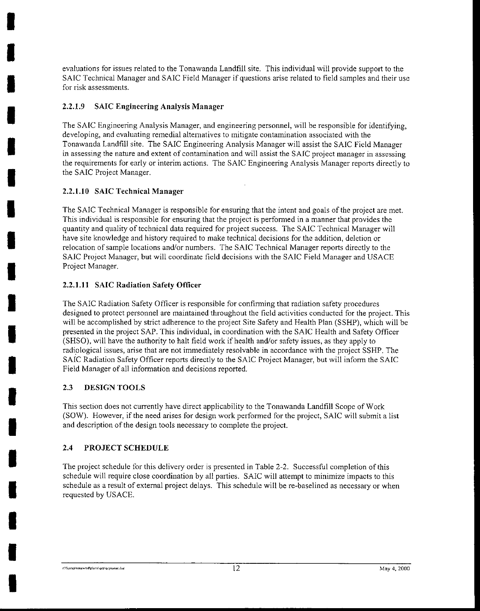evaluations for issues related to the Tonawanda Landfill site. This individual will provide support to the SAIC Technical Manager and SAIC Field Manager if questions arise related to field samples and their use **for risk assessments.** 

## **2.2.1.9 SAIC Engineering Analysis Manager**

The SAIC Engineering Analysis Manager, and engineering personnel, will be responsible for identifying, **developing, and evaluating remedial alternatives to mitigate contamination associated with the**  Tonawanda Landfill site. The SAIC Engineering Analysis Manager will assist the SAIC Field Manager **in assessing the nature and extent of contamination and will assist the SAIC project manager in assessing**  the requirements for early or interim actions. The SAIC Engineering Analysis Manager reports directly to the SAIC Project Manager.

## **2.2.1.10 SAIC Technical Manager**

I

I

I

I

I

I

I

I

I

I

I

I

I

I

I

I

I

I

I

The SAIC Technical Manager is responsible for ensuring that the intent and goals of the project are met. This individual is responsible for ensuring that the project is performed in a manner that provides the quantity and quality of technical data required for project success. The SAIC Technical Manager will have site knowledge and history required to make technical decisions for the addition, deletion or relocation of sample locations and/or numbers. The SAIC Technical Manager reports directly to the SAIC Project Manager, but will coordinate field decisions with the SAIC Field Manager and USACE Project Manager.

## **2.2.1.11 SAIC Radiation Safety Officer**

The SAIC Radiation Safety Officer is responsible for confirming that radiation safety procedures designed to protect personnel are maintained throughout the field activities conducted for the project. This will be accomplished by strict adherence to the project Site Safety and Health Plan (SSHP), which will be presented in the project SAP. This individual, in coordination with the SAIC Health and Safety Officer (SHSO), will have the authority to halt field work if health and/or safety issues, as they apply to radiological issues, arise that are not immediately resolvable in accordance with the project SSHP. The SAIC Radiation Safety Officer reports directly to the SAIC Project Manager, but will inform the SAIC Field Manager of all information and decisions reported.

### 2.3 **DESIGN TOOLS**

This section does not currently have direct applicability to the Tonawanda Landfill Scope of Work (SOW). However, if the need arises for design work performed for the project, SAIC will submit a list and description of the design tools necessary to complete the project.

## **2.4 PROJECT SCHEDULE**

The project schedule for this delivery order is presented in Table 2-2. Successful completion of this schedule will require close coordination by all parties. SAIC will attempt to minimize impacts to this schedule as a result of external project delays. This schedule will be re-baselined as necessary or when requested by USACE.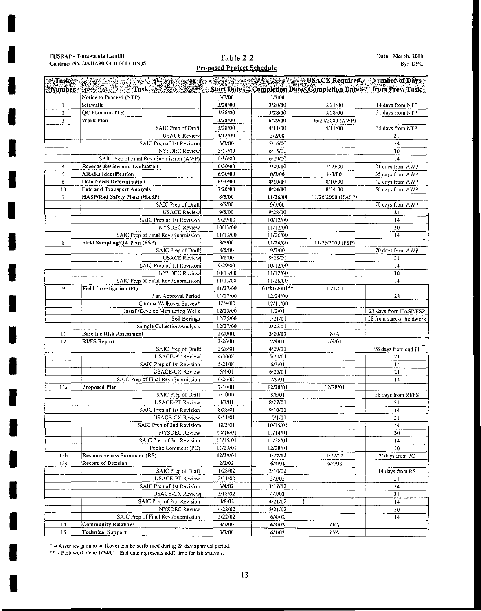#### **FUSRAP- Tonawanda Landfill Contract No. DAHA90-94-D-0007-DN05**

I

I

I

I

I

I

I

I

I

I

I

I

I

I

I

I

I

I

I

## r abie 2-2<br><u>Proposed Project Schedule</u> **Table 2-2**

**Date: March, 2000 By: DPC** 

|                                       | Contract No. DAHA90-94-D-0007-DN05                         | <b>Proposed Project Schedule</b> |                      |                                                    | By: DPC                    |
|---------------------------------------|------------------------------------------------------------|----------------------------------|----------------------|----------------------------------------------------|----------------------------|
|                                       |                                                            |                                  |                      | <b>MARK AND THE USACE Required</b>                 | Number of Days             |
| <b>SCTasky</b><br>Number <sup>®</sup> | <b>Experience of Task of the Second Street</b>             |                                  |                      |                                                    |                            |
|                                       |                                                            |                                  |                      | <b>Start Date Completion Date Completion Date:</b> | from Prev. Task            |
|                                       | Notice to Proceed (NTP)                                    | 3/7/00                           | 3/7/00               |                                                    |                            |
| 1                                     | Sitewalk                                                   | 3/20/00                          | 3/20/00              | 3/21/00                                            | 14 days from NTP           |
| $\overline{a}$                        | <b>OC Plan and ITR</b>                                     | 3/28/00                          | 3/28/00              | 3/28/00                                            | 21 days from NTP           |
| 3                                     | Work Plan                                                  | 3/28/00                          | 6/29/00              | 06/29/2000 (AWP)                                   |                            |
|                                       | SAIC Prep of Draft                                         | 3/28/00                          | 4/11/00              | 4/11/00                                            | 35 days from NTP           |
|                                       | <b>USACE Review</b>                                        | 4/12/00                          | 5/2/00               |                                                    | 21                         |
|                                       | SAIC Prep of 1st Revision                                  | 5/3/00                           | 5/16/00              |                                                    | 14                         |
|                                       | <b>NYSDEC Review</b>                                       | 5/17/00                          | 6/15/00              |                                                    | 30                         |
|                                       | SAIC Prep of Final Rev./Submission (AWP)                   | 6/16/00                          | 6/29/00              |                                                    | 14                         |
| 4                                     | Records Review and Evaluation                              | 6/30/00                          | 7/20/00              | 7/20/00                                            | 21 days from AWP           |
| 5                                     | ARARs Identification                                       | 6/30/00                          | 8/3/00               | 8/3/00                                             | 35 days from AWP           |
| 6                                     | Data Needs Determination                                   | 6/30/00                          | 8/10/00              | 8/10/00                                            | 42 days from AWP           |
| 10                                    | <b>Fate and Transport Analysis</b>                         | 7/20/00                          | 8/24/00              | 8/24/00                                            | 56 days from AWP           |
| 7                                     | HASP/Rad Safety Plans (HASP)                               | 8/5/00                           | 11/26/00             | 11/26/2000 (HASP)                                  |                            |
|                                       | SAIC Prep of Draft                                         | 8/5/00                           | 9/7/00               |                                                    | 70 days from AWP           |
|                                       | <b>USACE Review</b>                                        | 9/8/00                           | 9/28/00              |                                                    | 21                         |
|                                       | SAIC Prep of 1st Revision                                  | 9/29/00                          | 10/12/00             |                                                    | 14                         |
|                                       | <b>NYSDEC Review</b>                                       | 10/13/00                         | 11/12/00             |                                                    | 30                         |
|                                       | SAIC Prep of Final Rev./Submission                         | 11/13/00                         | 11/26/00             |                                                    | 14                         |
| 8                                     | Field Sampling/QA Plan (FSP)                               | 8/5/00                           | 11/26/00             | 11/26/2000 (FSP)                                   |                            |
|                                       | SAIC Prep of Draft                                         | 8/5/00                           | 9/7/00               |                                                    | 70 days from AWP           |
|                                       | <b>USACE Review</b>                                        | 9/8/00                           | 9/28/00              |                                                    | 21                         |
|                                       | SAIC Prep of 1st Revision                                  | 9/29/00                          | 10/12/00             |                                                    | 14                         |
|                                       | NYSDEC Review                                              | 10/13/00                         | 11/12/00             |                                                    | 30                         |
|                                       | SAIC Prep of Final Rev./Submission                         | 11/13/00                         | 11/26/00             |                                                    | 14                         |
| 9                                     | Field Investigation (FI)                                   | 11/27/00                         | $01/21/2001**$       | 1/21/01                                            |                            |
|                                       | Plan Approval Period                                       | 11/27/00                         | 12/24/00             |                                                    | 28                         |
|                                       | Gamma Walkover Survey*                                     | 12/4/00                          | 12/11/00             |                                                    |                            |
|                                       | Install/Develop Monitoring Wells                           | 12/25/00                         | 1/2/01               |                                                    | 28 days from HASP/FSP      |
|                                       | Soil Borings                                               | 12/25/00                         | 1/21/01              |                                                    | 28 from start of fieldwork |
|                                       | Sample Collection/Analysis                                 | 12/27/00                         | 2/25/01              |                                                    |                            |
| $\mathbf{1}$                          | <b>Baseline Risk Assessment</b>                            | 2/20/01                          | 3/20/01              | N/A                                                |                            |
| $\overline{12}$                       | <b>RI/FS Report</b>                                        | 2/26/01<br>2/26/01               | 7/9/01               | 7/9/01                                             |                            |
|                                       | SAIC Prep of Draft                                         |                                  | 4/29/01              |                                                    | 98 days from end FI        |
|                                       | <b>USACE-PT Review</b>                                     | 4/30/01                          | 5/20/01              |                                                    | 21                         |
|                                       | SAIC Prep of 1st Revision                                  | 5/21/01                          | 6/3/01               |                                                    | 14                         |
|                                       | <b>USACE-CX Review</b>                                     | 6/4/01                           | 6/25/01              |                                                    | 21                         |
|                                       | SAIC Prep of Final Rev./Submission<br>Proposed Plan        | 6/26/01<br>7/10/01               | 7/9/01               |                                                    | 14                         |
| 13a                                   |                                                            | 7/10/01                          | 12/28/01             | 12/28/01                                           |                            |
|                                       | SAIC Prep of Draft                                         | 8/7/01                           | 8/6/01               |                                                    | 28 days from RI/FS         |
|                                       | USACE-PT Review                                            |                                  | 8/27/01<br>9/10/01   |                                                    | 21                         |
|                                       | SAIC Prep of 1st Revision<br><b>USACE-CX Review</b>        | 8/28/01<br>9/11/01               |                      |                                                    | 14                         |
|                                       | SAIC Prep of 2nd Revision                                  | 10/2/01                          | 10/1/01<br>10/15/01  |                                                    | 21                         |
|                                       | <b>NYSDEC Review!</b>                                      | 10/16/01                         | 11/14/01             |                                                    | 14<br>30                   |
|                                       | SAIC Prep of 3rd Revision                                  | 11/15/01                         |                      |                                                    |                            |
|                                       | Public Comment (PC)                                        | 11/29/01                         | 11/28/01<br>12/28/01 |                                                    | 14<br>30                   |
| 13 <sub>b</sub>                       | <b>Responsiveness Summary (RS)</b>                         | 12/29/01                         | 1/27/02              | 1/27/02                                            | 21 days from PC            |
| 13c                                   | <b>Record of Decision</b>                                  | 2/2/02                           | 6/4/02               |                                                    |                            |
|                                       | SAIC Prep of Draft                                         | 1/28/02                          | 2/10/02              | 6/4/02                                             | 14 days from RS            |
|                                       | <b>USACE-PT Review</b>                                     | 2/11/02                          | 3/3/02               |                                                    |                            |
|                                       | SAIC Prep of 1st Revision                                  | 3/4/02                           | 3/17/02              |                                                    | 21                         |
|                                       | <b>USACE-CX Review</b>                                     | 3/18/02                          | 4/7/02               |                                                    | $\overline{14}$            |
|                                       | SAIC Prep of 2nd Revision                                  | 4/8/02                           | 4/21/02              |                                                    | 21                         |
|                                       |                                                            |                                  |                      |                                                    | $\sqrt{4}$                 |
|                                       | <b>NYSDEC Review</b><br>SAIC Prep of Final Rev./Submission | 4/22/02<br>5/22/02               | 5/21/02              |                                                    | 30                         |
| 14                                    | <b>Community Relations</b>                                 | 3/7/00                           | 6/4/02<br>6/4/02     |                                                    | 14                         |
| 15                                    | <b>Technical Support</b>                                   | 3/7/00                           | 6/4/02               | N/A                                                |                            |
|                                       |                                                            |                                  |                      | N/A                                                |                            |

• **=Assumes gamma walkover can be perfonned during 28 day approval period.**  ••"' **Fieldwork done 1/24/01. End date represents add'! time for lab analysis.**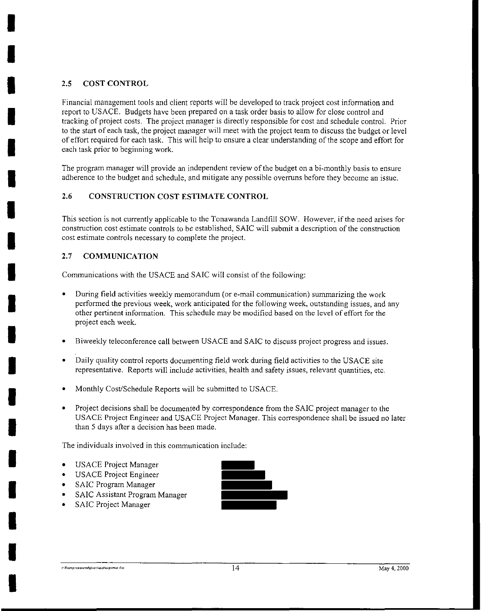#### **2.5 COST CONTROL**

I

I

I

I

I

I

I

I

I

I

I

I

I

I

I

I

I

I

I

Financial management tools and client reports will be developed to track project cost information and report to USACE. Budgets have been prepared on a task order basis to allow for close control and tracking of project costs. The project manager is directly responsible for cost and schedule control. Prior to the start of each task, the project manager will meet with the project team to discuss the budget or level of effort required for each task. This will help to ensure a clear understanding of the scope and effort for each task prior to beginning work.

The program manager will provide an independent review of the budget on a bi-monthly basis to ensure adherence to the budget and schedule, and mitigate any possible overruns before they become an issue.

#### **2.6 CONSTRUCTION COST ESTIMATE CONTROL**

This section is not currently applicable to the Tonawanda Landfill SOW. However, if the need arises for construction cost estimate controls to be established, SAIC will submit a description of the construction cost estimate controls necessary to complete the project.

#### 2.7 **COMMUNICATION**

Communications with the US ACE and SAIC will consist of the following:

- During field activities weekly memorandum (or e-mail communication) summarizing the work performed the previous week, work anticipated for the following week, outstanding issues, and any other pertinent information. This schedule may be modified based on the level of effort for the project each week.
- Biweekly teleconference call between USACE and SAIC to discuss project progress and issues.
- Daily quality control reports documenting field work during field activities to the USACE site representative. Reports will include activities, health and safety issues, relevant quantities, etc.
- Monthly Cost/Schedule Reports will be submitted to USACE.
- Project decisions shall be documented by correspondence from the SAIC project manager to the USACE Project Engineer and USACE Project Manager. This correspondence shall be issued no later than 5 days after a decision has been made.

**The individuals involved in this communication include:** 

- USACE Project Manager
- USACE Project Engineer
- SAIC Program Manager
- SAIC Assistant Program Manager
- SAIC Project Manager

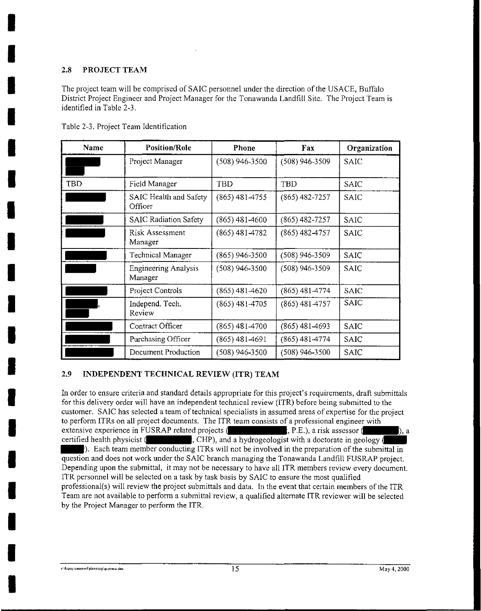## 2.8 **PROJECT TEAM**

I

I

I

I

I

I

I

I

I

I

I

I

I

I

I

I

I

I

I

The project team will be comprised of SAIC personnel under the direction of the USACE, Buffalo District Project Engineer and Project Manager for the Tonawanda Landfill Site. The Project Team is identified in Table 2-3.

| Name | <b>Position/Role</b>                   | <b>Phone</b>     | Fax              | Organization |
|------|----------------------------------------|------------------|------------------|--------------|
|      | Project Manager                        | $(508)$ 946-3500 | $(508)$ 946-3509 | SAIC         |
| TBD  | Field Manager                          | TBD              | TBD              | <b>SAIC</b>  |
|      | SAIC Health and Safety<br>Officer      | $(865)$ 481-4755 | $(865)$ 482-7257 | <b>SAIC</b>  |
|      | <b>SAIC Radiation Safety</b>           | $(865)$ 481-4600 | $(865)$ 482-7257 | SAIC         |
|      | Risk Assessment<br>Manager             | $(865)$ 481-4782 | $(865)$ 482-4757 | <b>SAIC</b>  |
|      | <b>Technical Manager</b>               | $(865)$ 946-3500 | $(508)$ 946-3509 | <b>SAIC</b>  |
|      | <b>Engineering Analysis</b><br>Manager | $(508)$ 946-3500 | $(508)$ 946-3509 | <b>SAIC</b>  |
|      | Project Controls                       | $(865)$ 481-4620 | $(865)$ 481-4774 | SAIC         |
|      | Independ. Tech.<br>Review              | $(865)$ 481-4705 | $(865)$ 481-4757 | <b>SAIC</b>  |
|      | Contract Officer                       | $(865)$ 481-4700 | $(865)$ 481-4693 | SAIC         |
|      | Purchasing Officer                     | $(865)$ 481-4691 | $(865)$ 481-4774 | <b>SAIC</b>  |
|      | Document Production                    | (508) 946-3500   | $(508)$ 946-3500 | SAIC         |

Table 2-3. Project Team Identification

## 2.9 **INDEPENDENT TECHNICAL REVIEW (ITR) TEAM**

In order to ensure criteria and standard details appropriate for this project's requirements, draft submittals for this delivery order will have an independent technical review (ITR) before being submitted to the customer. SAIC has selected a team of technical specialists in assumed areas of expertise for the project to perform ITRs on all project documents. The ITR team consists of a professional engineer with extensive experience in FUSRAP related projects ( , P.E.), a risk assessor ( ), a certified health physicist ( $\overline{\hspace{1cm}}$ , CHP), and a hydrogeologist with a doctorate in geology ( ). Each team member conducting ITRs will not be involved in the preparation of the submittal in question and does not work under the SAIC branch managing the Tonawanda Landfill FUSRAP project. Depending upon the submittal, it may not be necessary to have all ITR members review every document. ITR personnel will be selected on a task by task basis by SAIC to ensure the most qualified professional(s) will review the project submittals and data. In the event that certain members of the ITR Team are not available to perform a submittal review, a qualified alternate ITR reviewer will be selected by the Project Manager to perform the ITR.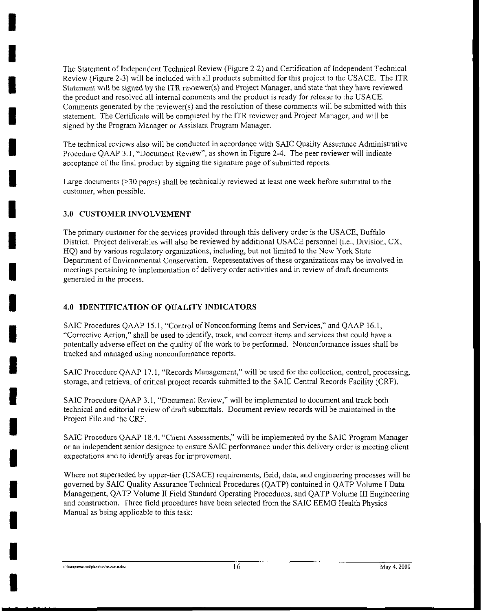The Statement of Independent Technical Review (Figure 2-2) and Certification of Independent Technical Review (Figure 2-3) will be included with all products submitted for this project to the USACE. The ITR Statement will be signed by the ITR reviewer(s) and Project Manager, and state that they have reviewed the product and resolved all internal comments and the product is ready for release to the USACE. Comments generated by the reviewer(s) and the resolution of these comments will be submitted with this statement. The Certificate will be completed by the ITR reviewer and Project Manager, and will be signed by the Program Manager or Assistant Program Manager.

The technical reviews also will be conducted in accordance with SAIC Quality Assurance Administrative Procedure QAAP 3.1, "Document Review", as shown in Figure 2-4. The peer reviewer will indicate acceptance of the final product by signing the signature page of submitted reports.

Large documents (>30 pages) shall be technically reviewed at least one week before submittal to the customer, when possible.

### 3.0 **CUSTOMER INVOLVEMENT**

I

I

I

I

I

I

I

I

I

I

I

I

I

I

I

I

I

I

I

The primary customer for the services provided through this delivery order is the USACE, Buffalo District. Project deliverables will also be reviewed by additional USACE personnel (i.e., Division, CX, HO) and by various regulatory organizations, including, but not limited to the New York State Department of Environmental Conservation. Representatives of these organizations may be involved in **meetings pertaining to implementation of delivery order activities and in review of draft documents**  generated in the process.

## **4.0 IDENTIFICATION OF QUALITY INDICATORS**

SAIC Procedures QAAP 15.1, "Control of Nonconforming Items and Services," and QAAP 16.1, "Corrective Action," shall be used to identify, track, and correct items and services that could have a potentially adverse effect on the quality of the work to be performed. Nonconformance issues shall be tracked and managed using nonconformance reports.

SAIC Procedure QAAP 17.1, "Records Management," will be used for the collection, control, processing, storage, and retrieval of critical project records submitted to the SAIC Central Records Facility (CRF).

SAIC Procedure QAAP 3.1, "Document Review," will be implemented to document and track both technical and editorial review of draft submittals. Document review records will be maintained in the Project File and the CRF.

SAIC Procedure QAAP 18.4, "Client Assessments," will be implemented by the SA!C Program Manager or an independent senior designee to ensure SAIC performance under this delivery order is meeting client expectations and to identify areas for improvement.

Where not superseded by upper-tier (US ACE) requirements, field, data, and engineering processes will be governed by SAIC Quality Assurance Technical Procedures (QATP) contained in QATP Volume I Data Management, QATP Volume II Field Standard Operating Procedures, and QATP Volume III Engineering and construction. Three field procedures have been selected from the SAIC EEMG Health Physics Manual as being applicable to this task:

nthisrapitonawmfiplans qepiqeptonar.doc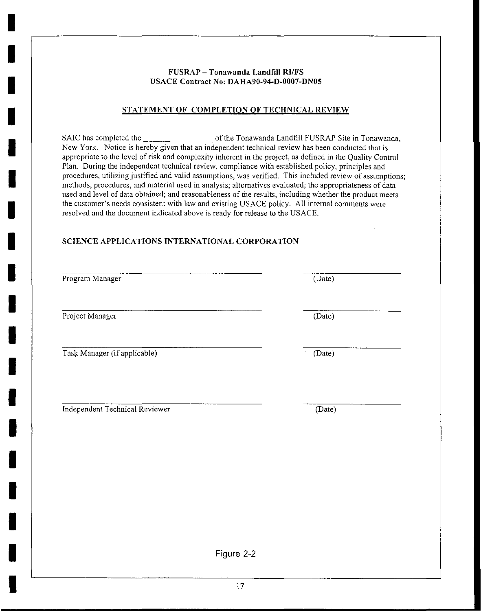#### **FUSRAP- Tonawanda Landfill RI/FS USACE Contract No: DAHA90-94-D-0007-DN05**

### **STATEMENT OF COMPLETION OF TECHNICAL REVIEW**

SAIC has completed the of the Tonawanda Landfill FUSRAP Site in Tonawanda, New York. Notice is hereby given that an independent technical review has been conducted that is appropriate to the level of risk and complexity inherent in the project, as defined in the Quality Control Plan. During the independent technical review, compliance with established policy, principles and procedures, utilizing justified and valid assumptions, was verified. This included review of assumptions; methods, procedures, and material used in analysis; alternatives evaluated; the appropriateness of data used and level of data obtained; and reasonableness of the results, including whether the product meets the customer's needs consistent with law and existing USACE policy. All internal comments were resolved and the document indicated above is ready for release to the USACE.

## **SCIENCE APPLICATIONS INTERNATIONAL CORPORATION**

I

I

I

I

I

I

I

I

I

I

I

I

I

I

I

I

I

I

I

| Program Manager                | (Date) |
|--------------------------------|--------|
| Project Manager                | (Date) |
| Task Manager (if applicable)   | (Date) |
| Independent Technical Reviewer | (Date) |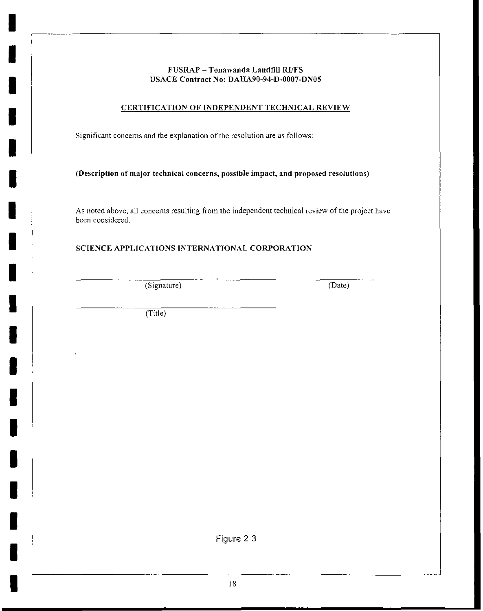## FUSRAP - Tonawanda Landfill RI/FS USACE Contract No: DAHA90-94-D-0007-DN05

## CERTIFICATION OF INDEPENDENT TECHNICAL REVIEW

**Significant concerns and the explanation of the resolution are as follows:** 

(Description of major technical concerns, possible impact, and proposed resolutions)

As noted above, all concerns resulting from the independent technical review of the project have been considered.

SCIENCE APPLICATIONS INTERNATIONAL CORPORATION

(Signature) (Date)

I

I

I

I

I

I

I

I

I

I

I

I

I

I

I

I

I

I

I

(Title)

Figure 2-3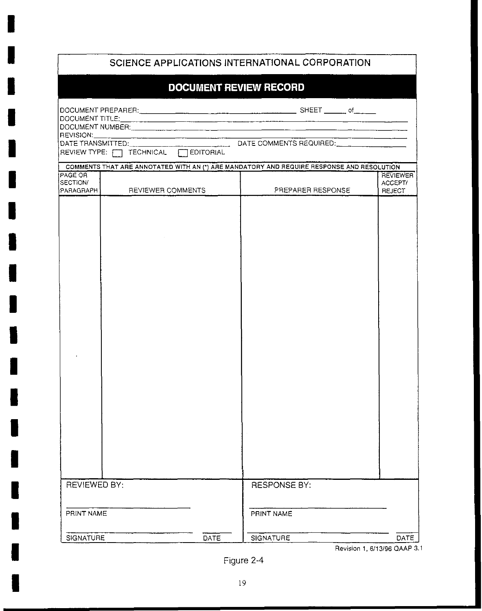|                                     |                          | SCIENCE APPLICATIONS INTERNATIONAL CORPORATION                                            |                                      |
|-------------------------------------|--------------------------|-------------------------------------------------------------------------------------------|--------------------------------------|
|                                     |                          | <b>DOCUMENT REVIEW RECORD</b>                                                             |                                      |
|                                     |                          |                                                                                           |                                      |
|                                     |                          |                                                                                           |                                      |
|                                     |                          | COMMENTS THAT ARE ANNOTATED WITH AN (*) ARE MANDATORY AND REQUIRE RESPONSE AND RESOLUTION |                                      |
| IPAGE OR<br>SECTION/<br>PARAGRAPH I | <b>REVIEWER COMMENTS</b> | PREPARER RESPONSE                                                                         | <b>REVIEWER</b><br>ACCEPT/<br>REJECT |
|                                     |                          |                                                                                           |                                      |
|                                     |                          |                                                                                           |                                      |
|                                     |                          |                                                                                           |                                      |
|                                     |                          |                                                                                           |                                      |
|                                     |                          |                                                                                           |                                      |
|                                     |                          |                                                                                           |                                      |
|                                     |                          |                                                                                           |                                      |
|                                     |                          |                                                                                           |                                      |
|                                     |                          |                                                                                           |                                      |
|                                     |                          |                                                                                           |                                      |
|                                     |                          |                                                                                           |                                      |
|                                     |                          |                                                                                           |                                      |
|                                     |                          |                                                                                           |                                      |
|                                     |                          |                                                                                           |                                      |
|                                     |                          |                                                                                           |                                      |
|                                     |                          |                                                                                           |                                      |
|                                     |                          |                                                                                           |                                      |
|                                     |                          |                                                                                           |                                      |
| REVIEWED BY:                        |                          | <b>RESPONSE BY:</b>                                                                       |                                      |
| PRINT NAME                          |                          | PRINT NAME                                                                                |                                      |
| SIGNATURE                           | DATE                     | SIGNATURE                                                                                 | DATE                                 |

I

I

I

I

I

I

I

I

I

I

I

I

I

I

I

I

I

I

I

Figure 2-4

Revision 1, 6/13/96 QAAP 3. 1